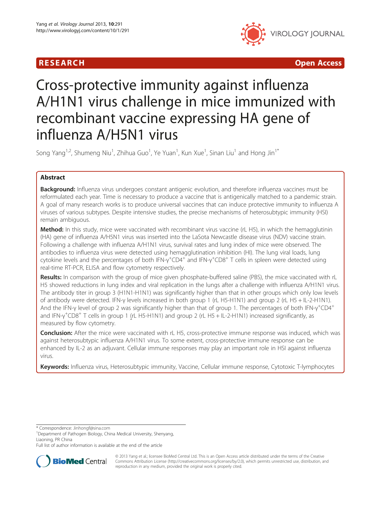

R E S EAR CH Open Access

# Cross-protective immunity against influenza A/H1N1 virus challenge in mice immunized with recombinant vaccine expressing HA gene of influenza A/H5N1 virus

Song Yang $^{1,2}$ , Shumeng Niu $^1$ , Zhihua Guo $^1$ , Ye Yuan $^1$ , Kun Xue $^1$ , Sinan Liu $^1$  and Hong Jin $^{1^\ast}$ 

# Abstract

**Background:** Influenza virus undergoes constant antigenic evolution, and therefore influenza vaccines must be reformulated each year. Time is necessary to produce a vaccine that is antigenically matched to a pandemic strain. A goal of many research works is to produce universal vaccines that can induce protective immunity to influenza A viruses of various subtypes. Despite intensive studies, the precise mechanisms of heterosubtypic immunity (HSI) remain ambiguous.

Method: In this study, mice were vaccinated with recombinant virus vaccine (rL H5), in which the hemagglutinin (HA) gene of influenza A/H5N1 virus was inserted into the LaSota Newcastle disease virus (NDV) vaccine strain. Following a challenge with influenza A/H1N1 virus, survival rates and lung index of mice were observed. The antibodies to influenza virus were detected using hemagglutination inhibition (HI). The lung viral loads, lung cytokine levels and the percentages of both IFN-γ<sup>+</sup>CD4<sup>+</sup> and IFN-γ<sup>+</sup>CD8<sup>+</sup> T cells in spleen were detected using real-time RT-PCR, ELISA and flow cytometry respectively.

Results: In comparison with the group of mice given phosphate-buffered saline (PBS), the mice vaccinated with rL H5 showed reductions in lung index and viral replication in the lungs after a challenge with influenza A/H1N1 virus. The antibody titer in group 3 (H1N1-H1N1) was significantly higher than that in other groups which only low levels of antibody were detected. IFN-γ levels increased in both group 1 (rL H5-H1N1) and group 2 (rL H5 + IL-2-H1N1). And the IFN-γ level of group 2 was significantly higher than that of group 1. The percentages of both IFN-γ<sup>+</sup>CD4<sup>+</sup> and IFN-γ<sup>+</sup>CD8<sup>+</sup> T cells in group 1 (rL H5-H1N1) and group 2 (rL H5 + IL-2-H1N1) increased significantly, as measured by flow cytometry.

**Conclusion:** After the mice were vaccinated with rL H5, cross-protective immune response was induced, which was against heterosubtypic influenza A/H1N1 virus. To some extent, cross-protective immune response can be enhanced by IL-2 as an adjuvant. Cellular immune responses may play an important role in HSI against influenza virus.

Keywords: Influenza virus, Heterosubtypic immunity, Vaccine, Cellular immune response, Cytotoxic T-lymphocytes

\* Correspondence: [Jinhongf@sina.com](mailto:Jinhongf@sina.com) <sup>1</sup>

Full list of author information is available at the end of the article



© 2013 Yang et al.; licensee BioMed Central Ltd. This is an Open Access article distributed under the terms of the Creative Commons Attribution License [\(http://creativecommons.org/licenses/by/2.0\)](http://creativecommons.org/licenses/by/2.0), which permits unrestricted use, distribution, and reproduction in any medium, provided the original work is properly cited.

<sup>&</sup>lt;sup>1</sup>Department of Pathogen Biology, China Medical University, Shenyang, Liaoning, PR China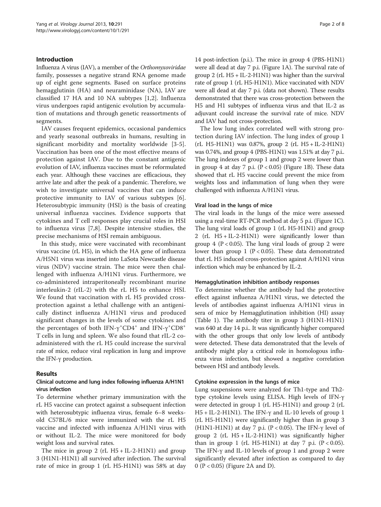# Introduction

Influenza A virus (IAV), a member of the Orthomyxoviridae family, possesses a negative strand RNA genome made up of eight gene segments. Based on surface proteins hemagglutinin (HA) and neuraminidase (NA), IAV are classified 17 HA and 10 NA subtypes [\[1,2\]](#page-6-0). Influenza virus undergoes rapid antigenic evolution by accumulation of mutations and through genetic reassortments of segments.

IAV causes frequent epidemics, occasional pandemics and yearly seasonal outbreaks in humans, resulting in significant morbidity and mortality worldwide [\[3-5](#page-6-0)]. Vaccination has been one of the most effective means of protection against IAV. Due to the constant antigenic evolution of IAV, influenza vaccines must be reformulated each year. Although these vaccines are efficacious, they arrive late and after the peak of a pandemic. Therefore, we wish to investigate universal vaccines that can induce protective immunity to IAV of various subtypes [\[6](#page-6-0)]. Heterosubtypic immunity (HSI) is the basis of creating universal influenza vaccines. Evidence supports that cytokines and T cell responses play crucial roles in HSI to influenza virus [[7,8](#page-6-0)]. Despite intensive studies, the precise mechanisms of HSI remain ambiguous.

In this study, mice were vaccinated with recombinant virus vaccine (rL H5), in which the HA gene of influenza A/H5N1 virus was inserted into LaSota Newcastle disease virus (NDV) vaccine strain. The mice were then challenged with influenza A/H1N1 virus. Furthermore, we co-administered intraperitoneally recombinant murine interleukin-2 (rIL-2) with the rL H5 to enhance HSI. We found that vaccination with rL H5 provided crossprotection against a lethal challenge with an antigenically distinct influenza A/H1N1 virus and produced significant changes in the levels of some cytokines and the percentages of both IFN- $\gamma$ <sup>+</sup>CD4<sup>+</sup> and IFN- $\gamma$ <sup>+</sup>CD8<sup>+</sup> T cells in lung and spleen. We also found that rIL-2 coadministered with the rL H5 could increase the survival rate of mice, reduce viral replication in lung and improve the IFN-γ production.

# Results

# Clinical outcome and lung index following influenza A/H1N1 virus infection

To determine whether primary immunization with the rL H5 vaccine can protect against a subsequent infection with heterosubtypic influenza virus, female 6–8 weeksold C57BL/6 mice were immunized with the rL H5 vaccine and infected with influenza A/H1N1 virus with or without IL-2. The mice were monitored for body weight loss and survival rates.

The mice in group 2 (rL  $H5 + IL-2-H1N1$ ) and group 3 (H1N1-H1N1) all survived after infection. The survival rate of mice in group 1 (rL H5-H1N1) was 58% at day

14 post-infection (p.i.). The mice in group 4 (PBS-H1N1) were all dead at day 7 p.i. (Figure [1](#page-2-0)A). The survival rate of group 2 (rL  $H5 + IL-2-H1N1$ ) was higher than the survival rate of group 1 (rL H5-H1N1). Mice vaccinated with NDV were all dead at day 7 p.i. (data not shown). These results demonstrated that there was cross-protection between the H5 and H1 subtypes of influenza virus and that IL-2 as adjuvant could increase the survival rate of mice. NDV and IAV had not cross-protection.

The low lung index correlated well with strong protection during IAV infection. The lung index of group 1 (rL H5-H1N1) was 0.87%, group 2 (rL H5 + IL-2-H1N1) was 0.74%, and group 4 (PBS-H1N1) was 1.51% at day 7 p.i.. The lung indexes of group 1 and group 2 were lower than in group 4 at day 7 p.i.  $(P < 0.05)$  (Figure [1](#page-2-0)B). These data showed that rL H5 vaccine could prevent the mice from weights loss and inflammation of lung when they were challenged with influenza A/H1N1 virus.

# Viral load in the lungs of mice

The viral loads in the lungs of the mice were assessed using a real-time RT-PCR method at day 5 p.i. (Figure [1C](#page-2-0)). The lung viral loads of group 1 (rL H5-H1N1) and group 2 (rL H5 + IL-2-H1N1) were significantly lower than group 4 ( $P < 0.05$ ). The lung viral loads of group 2 were lower than group 1 ( $P < 0.05$ ). These data demonstrated that rL H5 induced cross-protection against A/H1N1 virus infection which may be enhanced by IL-2.

### Hemagglutination inhibition antibody responses

To determine whether the antibody had the protective effect against influenza A/H1N1 virus, we detected the levels of antibodies against influenza A/H1N1 virus in sera of mice by Hemagglutination inhibition (HI) assay (Table [1](#page-2-0)). The antibody titer in group 3 (H1N1-H1N1) was 640 at day 14 p.i.. It was significantly higher compared with the other groups that only low levels of antibody were detected. These data demonstrated that the levels of antibody might play a critical role in homologous influenza virus infection, but showed a negative correlation between HSI and antibody levels.

# Cytokine expression in the lungs of mice

Lung suspensions were analyzed for Th1-type and Th2 type cytokine levels using ELISA. High levels of IFN-γ were detected in group 1 (rL H5-H1N1) and group 2 (rL H5 + IL-2-H1N1). The IFN-γ and IL-10 levels of group 1 (rL H5-H1N1) were significantly higher than in group 3 (H1N1-H1N1) at day 7 p.i. (P < 0.05). The IFN- $\gamma$  level of group 2 (rL  $H_5 + IL-2-H1N1$ ) was significantly higher than in group 1 (rL H5-H1N1) at day 7 p.i.  $(P < 0.05)$ . The IFN-γ and IL-10 levels of group 1 and group 2 were significantly elevated after infection as compared to day 0 (P < 0.05) (Figure [2](#page-3-0)A and D).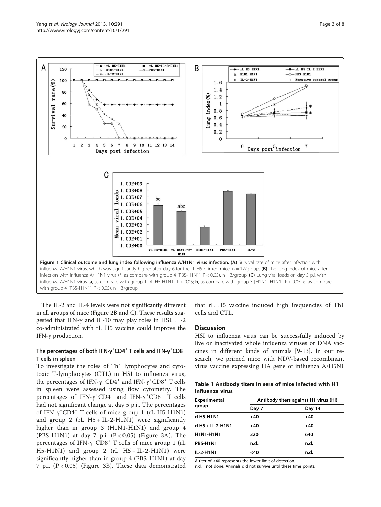<span id="page-2-0"></span>

The IL-2 and IL-4 levels were not significantly different in all groups of mice (Figure [2](#page-3-0)B and C). These results suggested that IFN-γ and IL-10 may play roles in HSI. IL-2 co-administrated with rL H5 vaccine could improve the IFN-γ production.

# The percentages of both IFN- $\gamma^+$ CD4<sup>+</sup> T cells and IFN- $\gamma^+$ CD8<sup>+</sup> T cells in spleen

To investigate the roles of Th1 lymphocytes and cytotoxic T-lymphocytes (CTL) in HSI to influenza virus, the percentages of IFN- $\gamma$ <sup>+</sup>CD4<sup>+</sup> and IFN- $\gamma$ <sup>+</sup>CD8<sup>+</sup> T cells in spleen were assessed using flow cytometry. The percentages of  $IFN-\gamma^+CD4^+$  and  $IFN-\gamma^+CD8^+$  T cells had not significant change at day 5 p.i.. The percentages of IFN-γ<sup>+</sup> CD4<sup>+</sup> T cells of mice group 1 (rL H5-H1N1) and group 2 (rL  $H5 + IL-2-H1N1$ ) were significantly higher than in group 3 (H1N1-H1N1) and group 4 (PBS-H1N1) at day 7 p.i.  $(P < 0.05)$  (Figure [3A](#page-4-0)). The percentages of IFN-γ<sup>+</sup> CD8<sup>+</sup> T cells of mice group 1 (rL  $H5-H1N1$ ) and group 2 (rL  $H5+IL-2-H1N1$ ) were significantly higher than in group 4 (PBS-H1N1) at day 7 p.i. (P < 0.05) (Figure [3B](#page-4-0)). These data demonstrated

that rL H5 vaccine induced high frequencies of Th1 cells and CTL.

# **Discussion**

HSI to influenza virus can be successfully induced by live or inactivated whole influenza viruses or DNA vaccines in different kinds of animals [\[9](#page-6-0)-[13\]](#page-6-0). In our research, we primed mice with NDV-based recombinant virus vaccine expressing HA gene of influenza A/H5N1

| Table 1 Antibody titers in sera of mice infected with H1 |  |  |
|----------------------------------------------------------|--|--|
| influenza virus                                          |  |  |

| <b>Experimental</b> | Antibody titers against H1 virus (HI) |        |  |  |
|---------------------|---------------------------------------|--------|--|--|
| group               | Day 7                                 | Day 14 |  |  |
| rLH5-H1N1           | $<$ 40                                | $<$ 40 |  |  |
| rLH5 + IL-2-H1N1    | $<$ 40                                | $<$ 40 |  |  |
| H1N1-H1N1           | 320                                   | 640    |  |  |
| PBS-H1N1            | n.d.                                  | n.d.   |  |  |
| IL-2-H1N1           | $<$ 40                                | n.d.   |  |  |

A titer of <40 represents the lower limit of detection.

n.d. = not done. Animals did not survive until these time points.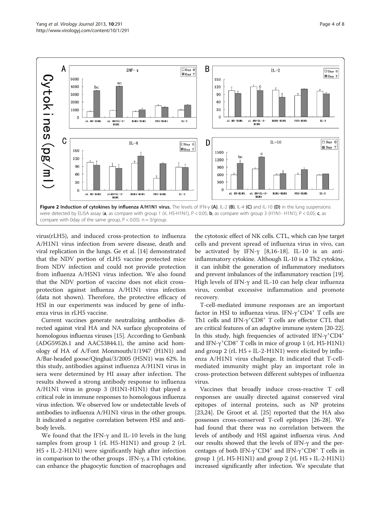<span id="page-3-0"></span>

virus(rLH5), and induced cross-protection to influenza A/H1N1 virus infection from severe disease, death and viral replication in the lungs. Ge et al. [\[14](#page-6-0)] demonstrated that the NDV portion of rLH5 vaccine protected mice from NDV infection and could not provide protection from influenza A/H5N1 virus infection. We also found that the NDV portion of vaccine does not elicit crossprotection against influenza A/H1N1 virus infection (data not shown). Therefore, the protective efficacy of HSI in our experiments was induced by gene of influenza virus in rLH5 vaccine.

Current vaccines generate neutralizing antibodies directed against viral HA and NA surface glycoproteins of homologous influenza viruses [\[15](#page-6-0)]. According to Genbank (ADG59526.1 and AAC53844.1), the amino acid homology of HA of A/Font Monmouth/1/1947 (H1N1) and A/Bar-headed goose/Qinghai/3/2005 (H5N1) was 62%. In this study, antibodies against influenza A/H1N1 virus in sera were determined by HI assay after infection. The results showed a strong antibody response to influenza A/H1N1 virus in group 3 (H1N1-H1N1) that played a critical role in immune responses to homologous influenza virus infection. We observed low or undetectable levels of antibodies to influenza A/H1N1 virus in the other groups. It indicated a negative correlation between HSI and antibody levels.

We found that the IFN- $\gamma$  and IL-10 levels in the lung samples from group 1 (rL H5-H1N1) and group 2 (rL H5 + IL-2-H1N1) were significantly high after infection in comparison to the other groups . IFN-γ, a Th1 cytokine, can enhance the phagocytic function of macrophages and

the cytotoxic effect of NK cells. CTL, which can lyse target cells and prevent spread of influenza virus in vivo, can be activated by IFN- $\gamma$  [\[8](#page-6-0),[16-](#page-6-0)[18](#page-7-0)]. IL-10 is an antiinflammatory cytokine. Although IL-10 is a Th2 cytokine, it can inhibit the generation of inflammatory mediators and prevent imbalances of the inflammatory reaction [[19](#page-7-0)]. High levels of IFN-γ and IL-10 can help clear influenza virus, combat excessive inflammation and promote recovery.

T-cell-mediated immune responses are an important factor in HSI to influenza virus. IFN- $\gamma^*$ CD4<sup>+</sup> T cells are Th1 cells and IFN- $\gamma$ <sup>+</sup>CD8<sup>+</sup> T cells are effector CTL that are critical features of an adaptive immune system [[20](#page-7-0)-[22](#page-7-0)]. In this study, high frequencies of activated IFN-γ<sup>+</sup>CD4<sup>+</sup> and IFN-γ<sup>+</sup>CD8<sup>+</sup> T cells in mice of group 1 (rL H5-H1N1) and group 2 (rL  $H5 + IL-2-H1N1$ ) were elicited by influenza A/H1N1 virus challenge. It indicated that T-cellmediated immunity might play an important role in cross-protection between different subtypes of influenza virus.

Vaccines that broadly induce cross-reactive T cell responses are usually directed against conserved viral epitopes of internal proteins, such as NP proteins [[23,24\]](#page-7-0). De Groot et al. [[25\]](#page-7-0) reported that the HA also possesses cross-conserved T-cell epitopes [\[26](#page-7-0)-[28\]](#page-7-0). We had found that there was no correlation between the levels of antibody and HSI against influenza virus. And our results showed that the levels of IFN-γ and the percentages of both IFN-γ<sup>+</sup>CD4<sup>+</sup> and IFN-γ<sup>+</sup>CD8<sup>+</sup> T cells in group 1 (rL H5-H1N1) and group 2 (rL H5 + IL-2-H1N1) increased significantly after infection. We speculate that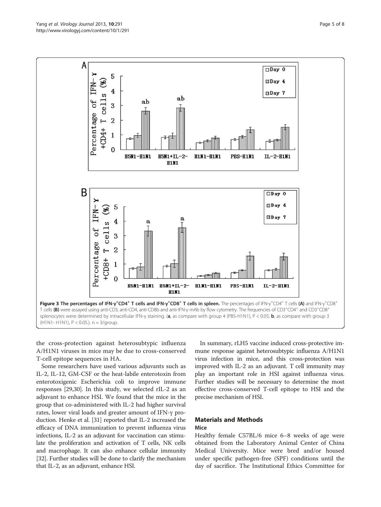<span id="page-4-0"></span>

the cross-protection against heterosubtypic influenza A/H1N1 viruses in mice may be due to cross-conserved T-cell epitope sequences in HA.

Some researchers have used various adjuvants such as IL-2, IL-12, GM-CSF or the heat-labile enterotoxin from enterotoxigenic Escherichia coli to improve immune responses [\[29,30\]](#page-7-0). In this study, we selected rIL-2 as an adjuvant to enhance HSI. We found that the mice in the group that co-administered with IL-2 had higher survival rates, lower viral loads and greater amount of IFN-γ production. Henke et al. [\[31](#page-7-0)] reported that IL-2 increased the efficacy of DNA immunization to prevent influenza virus infections, IL-2 as an adjuvant for vaccination can stimulate the proliferation and activation of T cells, NK cells and macrophage. It can also enhance cellular immunity [[32](#page-7-0)]. Further studies will be done to clarify the mechanism that IL-2, as an adjuvant, enhance HSI.

In summary, rLH5 vaccine induced cross-protective immune response against heterosubtypic influenza A/H1N1 virus infection in mice, and this cross-protection was improved with IL-2 as an adjuvant. T cell immunity may play an important role in HSI against influenza virus. Further studies will be necessary to determine the most effective cross-conserved T-cell epitope to HSI and the precise mechanism of HSI.

# Materials and Methods

# Mice

Healthy female C57BL/6 mice 6–8 weeks of age were obtained from the Laboratory Animal Center of China Medical University. Mice were bred and/or housed under specific pathogen-free (SPF) conditions until the day of sacrifice. The Institutional Ethics Committee for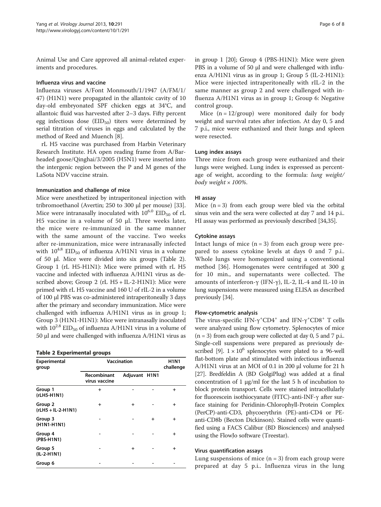Animal Use and Care approved all animal-related experiments and procedures.

# Influenza virus and vaccine

Influenza viruses A/Font Monmouth/1/1947 (A/FM/1/ 47) (H1N1) were propagated in the allantoic cavity of 10 day-old embryonated SPF chicken eggs at 34°C, and allantoic fluid was harvested after 2–3 days. Fifty percent egg infectious dose  $(EID_{50})$  titers were determined by serial titration of viruses in eggs and calculated by the method of Reed and Muench [[8\]](#page-6-0).

rL H5 vaccine was purchased from Harbin Veterinary Research Institute. HA open reading frame from A/Barheaded goose/Qinghai/3/2005 (H5N1) were inserted into the intergenic region between the P and M genes of the LaSota NDV vaccine strain.

### Immunization and challenge of mice

Mice were anesthetized by intraperitoneal injection with tribromoethanol (Avertin; 250 to 300 μl per mouse) [\[33](#page-7-0)]. Mice were intranasally inoculated with  $10^{6.0}$  EID<sub>50</sub> of rL H5 vaccine in a volume of 50 μl. Three weeks later, the mice were re-immunized in the same manner with the same amount of the vaccine. Two weeks after re-immunization, mice were intranasally infected with  $10^{4.8}$  EID<sub>50</sub> of influenza A/H1N1 virus in a volume of 50 μl. Mice were divided into six groups (Table 2). Group 1 (rL H5-H1N1): Mice were primed with rL H5 vaccine and infected with influenza A/H1N1 virus as described above; Group 2 (rL H5 + IL-2-H1N1): Mice were primed with rL H5 vaccine and 160 U of rIL-2 in a volume of 100 μl PBS was co-administered intraperitoneally 3 days after the primary and secondary immunization. Mice were challenged with influenza A/H1N1 virus as in group 1; Group 3 (H1N1-H1N1): Mice were intranasally inoculated with  $10^{2.8}$  EID<sub>50</sub> of influenza A/H1N1 virus in a volume of 50 μl and were challenged with influenza A/H1N1 virus as

| <b>Table 2 Experimental groups</b> |  |  |  |  |  |  |
|------------------------------------|--|--|--|--|--|--|
|------------------------------------|--|--|--|--|--|--|

| Experimental<br>group           | Vaccination                  | <b>H1N1</b><br>challenge |   |           |
|---------------------------------|------------------------------|--------------------------|---|-----------|
|                                 | Recombinant<br>virus vaccine | Adjuvant H1N1            |   |           |
| Group 1<br>(rLH5-H1N1)          | $\ddot{}$                    |                          |   | $\ddot{}$ |
| Group 2<br>$(rLH5 + IL-2-H1N1)$ | $\ddot{}$                    | $\ddot{}$                |   | $\ddot{}$ |
| Group 3<br>(H1N1-H1N1)          |                              |                          | + | $\ddot{}$ |
| Group 4<br>(PBS-H1N1)           |                              |                          |   | $\ddot{}$ |
| Group 5<br>(IL-2-H1N1)          |                              | $\ddot{}$                |   | $\ddot{}$ |
| Group 6                         |                              |                          |   |           |

in group 1 [\[20\]](#page-7-0); Group 4 (PBS-H1N1): Mice were given PBS in a volume of 50 μl and were challenged with influenza A/H1N1 virus as in group 1; Group 5 (IL-2-H1N1): Mice were injected intraperitoneally with rIL-2 in the same manner as group 2 and were challenged with influenza A/H1N1 virus as in group 1; Group 6: Negative control group.

Mice  $(n = 12/$ group) were monitored daily for body weight and survival rates after infection. At day 0, 5 and 7 p.i., mice were euthanized and their lungs and spleen were resected.

#### Lung index assays

Three mice from each group were euthanized and their lungs were weighed. Lung index is expressed as percentage of weight, according to the formula: lung weight/ body weight × 100%.

#### HI assay

Mice  $(n = 3)$  from each group were bled via the orbital sinus vein and the sera were collected at day 7 and 14 p.i.. HI assay was performed as previously described [[34,35\]](#page-7-0).

#### Cytokine assays

Intact lungs of mice  $(n = 3)$  from each group were prepared to assess cytokine levels at days 0 and 7 p.i.. Whole lungs were homogenized using a conventional method [\[36](#page-7-0)]. Homogenates were centrifuged at 300 g for 10 min., and supernatants were collected. The amounts of interferon-γ (IFN-γ), IL-2, IL-4 and IL-10 in lung suspensions were measured using ELISA as described previously [\[34\]](#page-7-0).

#### Flow-cytometric analysis

The virus-specific IFN- $\gamma$ <sup>+</sup>CD4<sup>+</sup> and IFN- $\gamma$ <sup>+</sup>CD8<sup>+</sup> T cells were analyzed using flow cytometry. Splenocytes of mice  $(n = 3)$  from each group were collected at day 0, 5 and 7 p.i.. Single-cell suspensions were prepared as previously de-scribed [[9](#page-6-0)].  $1 \times 10^6$  splenocytes were plated to a 96-well flat-bottom plate and stimulated with infectious influenza A/H1N1 virus at an MOI of 0.1 in 200 μl volume for 21 h [[27](#page-7-0)]. Bredfeldin A (BD GolgiPlug) was added at a final concentration of 1 μg/ml for the last 5 h of incubation to block protein transport. Cells were stained intracellularly for fluorescein isothiocyanate (FITC)-anti-INF-γ after surface staining for Peridinin-Chlorophyll-Protein Complex (PerCP)-anti-CD3, phycoerythrin (PE)-anti-CD4 or PEanti-CD8b (Becton Dickinson). Stained cells were quantified using a FACS Calibur (BD Biosciences) and analysed using the FlowJo software (Treestar).

#### Virus quantification assays

Lung suspensions of mice  $(n = 3)$  from each group were prepared at day 5 p.i.. Influenza virus in the lung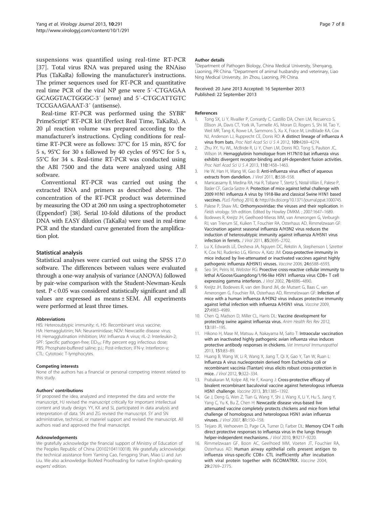<span id="page-6-0"></span>suspensions was quantified using real-time RT-PCR [[37](#page-7-0)]. Total virus RNA was prepared using the RNAiso Plus (TaKaRa) following the manufacturer's instructions. The primer sequences used for RT-PCR and quantitative real time PCR of the viral NP gene were 5′-CTGAGAA GCAGGTACTGGGC-3′ (sense) and 5′-CTGCATTGTC TCCGAAGAAAT-3′ (antisense).

Real-time RT-PCR was performed using the SYBR® PrimeScript® RT-PCR kit (Perfect Real Time, TaKaRa). A 20 μl reaction volume was prepared according to the manufacturer's instructions. Cycling conditions for realtime RT-PCR were as follows: 37°C for 15 min, 85°C for 5 s, 95°C for 30 s followed by 40 cycles of 95°C for 5 s, 55°C for 34 s. Real-time RT-PCR was conducted using the ABI 7500 and the data were analyzed using ABI software.

Conventional RT-PCR was carried out using the extracted RNA and primers as described above. The concentration of the RT-PCR product was determined by measuring the OD at 260 nm using a spectrophotometer (Eppendorf) [[38](#page-7-0)]. Serial 10-fold dilutions of the product DNA with EASY dilution (TaKaRa) were used in real-time PCR and the standard curve generated from the amplification plot.

# Statistical analysis

Statistical analyses were carried out using the SPSS 17.0 software. The differences between values were evaluated through a one-way analysis of variance (ANOVA) followed by pair-wise comparison with the Student-Newman-Keuls test. P < 0.05 was considered statistically significant and all values are expressed as means ± SEM. All experiments were performed at least three times.

#### Abbreviations

HIS: Heterosubtypic immunity; rL H5: Recombinant virus vaccine; HA: Hemagglutinin; NA: Neuraminidase; NDV: Newcastle disease virus; HI: Hemagglutination inhibition; IAV: Influenza A virus; rIL-2: Interleukin-2; SPF: Specific pathogen-free; EID<sub>50</sub>: Fifty percent egg infectious dose; PBS: Phosphate-buffered saline; p.i.: Post-infection; IFN-γ: Interferon-γ; CTL: Cytotoxic T-lymphocytes.

#### Competing interests

None of the authors has a financial or personal competing interest related to this study.

#### Authors' contributions

SY proposed the idea, analyzed and interpreted the data and wrote the manuscript, HJ revised the manuscript critically for important intellectual content and study design. YY, KX and SL participated in data analysis and interpretation of data. SN and ZG revised the manuscript. SY and SN administrative, technical, or materiel support and revised the manuscript. All authors read and approved the final manuscript.

#### Acknowledgements

We gratefully acknowledge the financial support of Ministry of Education of the Peoples Republic of China (20102104110018). We gratefully acknowledge the technical assistance from Yaming Cao, Fengping Shan, Miao Li and Jun Liu. We also acknowledge BioMed Proofreading for native English-speaking experts' edition.

#### Author details

<sup>1</sup>Department of Pathogen Biology, China Medical University, Shenyang Liaoning, PR China. <sup>2</sup> Department of animal husbandry and veterinary, Liac Ning Medical University, Jin Zhou, Liaoning, PR China.

#### Received: 20 June 2013 Accepted: 16 September 2013 Published: 22 September 2013

#### References

- 1. Tong SX, Li Y, Rivailler P, Conrardy C, Castillo DA, Chen LM, Recuenco S, Ellison JA, Davis CT, York IA, Turmelle AS, Moran D, Rogers S, Shi M, Tao Y, Weil MR, Tang K, Rowe LA, Sammons S, Xu X, Frace M, Lindblade KA, Cox NJ, Anderson LJ, Rupprecht CE, Donis RO: A distinct lineage of influenza A virus from bats. Proc Natl Acad Sci U S A 2012, 109:4269–4274.
- 2. Zhu XY, Yu WL, McBride R, Li Y, Chen LM, Donis RO, Tong S, Paulson JC, Wilson IA: Hemagglutinin homologue from H17N10 bat influenza virus exhibits divergent receptor-binding and pH-dependent fusion activities. Proc Natl Acad Sci U S A 2013, 110:1458–1463.
- 3. He W, Han H, Wang W, Gao B: Anti-influenza virus effect of aqueous extracts from dandelion. J Virol 2011, 8:538-558.
- 4. Manicassamy B, Medina RA, Hai R, Tsibane T, Stertz S, Nistal-Villán E, Palese P, Basler CF, García-Sastre A: Protection of mice against lethal challenge with 2009 H1N1 influenza A virus by 1918-like and classical Swine H1N1 based vaccines. PLoS Pathog 2010, 6: http://dx.doi.org/10.1371/journal.ppat.1000745.
- 5. Palese P, Shaw ML: Orthomyxoviridae: the viruses and their replication. In Fields virology. 5th edition. Edited by Howley DMKM. ; 2007:1647–1689.
- 6. Bodewes R, Kreijtz JH, Geelhoed-Mieras MM, van Amerongen G, Verburgh RJ, van Trierum SE, Kuiken T, Fouchier RA, Osterhaus AD, Rimmelzwaan GF: Vaccination against seasonal influenza A/H3N2 virus reduces the induction of heterosubtypic immunity against influenza A/H5N1 virus infection in ferrets. J Virol 2011, 85:2695–2702.
- 7. Lu X, Edwards LE, Desheva JA, Nguyen DC, Rekstin A, Stephenson I, Szretter K, Cox NJ, Rudenko LG, Klimov A, Katz JM: Cross-protective immunity in mice induced by live-attenuated or inactivated vaccines against highly pathogenic influenza A(H5N1) viruses. Vaccine 2006, 24:6588–6593.
- 8. Seo SH, Peiris M, Webster RG: Proective cross-reactive cellular immunity to lethal A/Goose/Guangdong/1/96-like H5N1 influenza virus CD8+ T cell expressing gamma interferon. J Virol 2002, 76:4886–4890.
- 9. Kreijtz JH, Bodewes R, van den Brand JM, de Mutsert G, Baas C, van Amerongen G, Fouchier RA, Osterhaus AD, Rimmelzwaan GF: Infection of mice with a human influenza A/H3N2 virus induces protective immunity against lethal infection with influenza A/H5N1 virus. Vaccine 2009, 27:4983–4989.
- 10. Chen Q, Madson D, Miller CL, Harris DL: Vaccine development for protecting swine against influenza virus. Anim Health Res Rev 2012, 13:181–195.
- 11. Hikono H, Mase M, Matsuu A, Nakayama M, Saito T: Intraocular vaccination with an inactivated highly pathogenic avian influenza virus induces protective antibody responses in chickens. Vet Immunol Immunopathol 2013, 151:83–89.
- 12. Huang B, Wang W, Li R, Wang X, Jiang T, Qi X, Gao Y, Tan W, Ruan L: Influenza A virus nucleoprotein derived from Escherichia coli or recombinant vaccinia (Tiantan) virus elicits robust cross-protection in mice. J Virol 2012, 9:322–334.
- 13. Prabakaran M, Kolpe AB, He F, Kwang J: Cross-protective efficacy of bivalent recombinant baculoviral vaccine against heterologous influenza H5N1 challenge. Vaccine 2013, 31:1385–1392.
- 14. Ge J, Deng G, Wen Z, Tian G, Wang Y, Shi J, Wang X, Li Y, Hu S, Jiang Y, Yang C, Yu K, Bu Z, Chen H: Newcastle disease virus-based live attenuated vaccine completely protects chickens and mice from lethal challenge of homologous and heterologous H5N1 avian influenza viruses. J Virol 2007, 81:150–158.
- 15. Teijaro JR, Verhoeven D, Page CA, Turner D, Farber DL: Memory CD4 T cells direct protective responses to influenza virus in the lungs through helper-independent mechanisms. J Virol 2010, 9:9217–9220.
- 16. Rimmelzwaan GF, Boon AC, Geelhoed MM, Voeten JT, Fouchier RA, Osterhaus AD: Human airway epithelial cells present antigen to influenza virus-specific CD8+ CTL inefficiently after incubation with viral protein together with ISCOMATRIX. Vaccine 2004, 29:2769–2775.